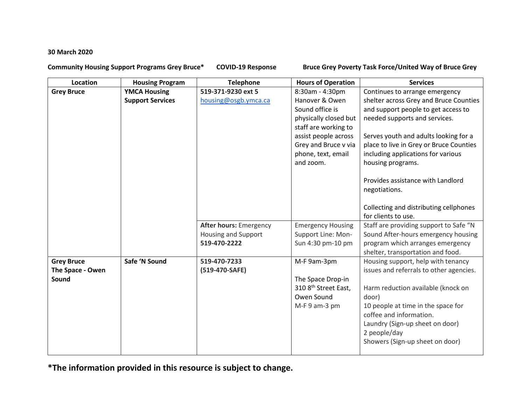## **30 March 2020**

**Community Housing Support Programs Grey Bruce\* COVID-19 Response Bruce Grey Poverty Task Force/United Way of Bruce Grey** 

| Location          | <b>Housing Program</b>  | <b>Telephone</b>              | <b>Hours of Operation</b>        | <b>Services</b>                         |
|-------------------|-------------------------|-------------------------------|----------------------------------|-----------------------------------------|
| <b>Grey Bruce</b> | <b>YMCA Housing</b>     | 519-371-9230 ext 5            | 8:30am - 4:30pm                  | Continues to arrange emergency          |
|                   | <b>Support Services</b> | housing@osgb.ymca.ca          | Hanover & Owen                   | shelter across Grey and Bruce Counties  |
|                   |                         |                               | Sound office is                  | and support people to get access to     |
|                   |                         |                               | physically closed but            | needed supports and services.           |
|                   |                         |                               | staff are working to             |                                         |
|                   |                         |                               | assist people across             | Serves youth and adults looking for a   |
|                   |                         |                               | Grey and Bruce v via             | place to live in Grey or Bruce Counties |
|                   |                         |                               | phone, text, email               | including applications for various      |
|                   |                         |                               | and zoom.                        | housing programs.                       |
|                   |                         |                               |                                  |                                         |
|                   |                         |                               |                                  | Provides assistance with Landlord       |
|                   |                         |                               |                                  | negotiations.                           |
|                   |                         |                               |                                  | Collecting and distributing cellphones  |
|                   |                         |                               |                                  | for clients to use.                     |
|                   |                         | <b>After hours: Emergency</b> | <b>Emergency Housing</b>         | Staff are providing support to Safe "N  |
|                   |                         | Housing and Support           | Support Line: Mon-               | Sound After-hours emergency housing     |
|                   |                         | 519-470-2222                  | Sun 4:30 pm-10 pm                | program which arranges emergency        |
|                   |                         |                               |                                  | shelter, transportation and food.       |
| <b>Grey Bruce</b> | Safe 'N Sound           | 519-470-7233                  | M-F 9am-3pm                      | Housing support, help with tenancy      |
| The Space - Owen  |                         | (519-470-SAFE)                |                                  | issues and referrals to other agencies. |
| Sound             |                         |                               | The Space Drop-in                |                                         |
|                   |                         |                               | 310 8 <sup>th</sup> Street East, | Harm reduction available (knock on      |
|                   |                         |                               | Owen Sound                       | door)                                   |
|                   |                         |                               | M-F 9 am-3 pm                    | 10 people at time in the space for      |
|                   |                         |                               |                                  | coffee and information.                 |
|                   |                         |                               |                                  | Laundry (Sign-up sheet on door)         |
|                   |                         |                               |                                  | 2 people/day                            |
|                   |                         |                               |                                  | Showers (Sign-up sheet on door)         |
|                   |                         |                               |                                  |                                         |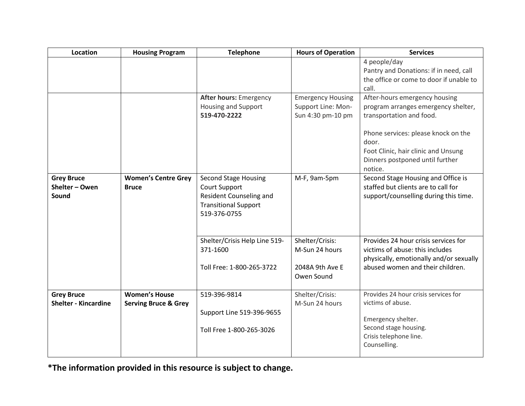| <b>Location</b>             | <b>Housing Program</b>          | <b>Telephone</b>                                                       | <b>Hours of Operation</b>                                           | <b>Services</b>                                                                                                                   |
|-----------------------------|---------------------------------|------------------------------------------------------------------------|---------------------------------------------------------------------|-----------------------------------------------------------------------------------------------------------------------------------|
|                             |                                 |                                                                        |                                                                     | 4 people/day<br>Pantry and Donations: if in need, call<br>the office or come to door if unable to                                 |
|                             |                                 |                                                                        |                                                                     | call.                                                                                                                             |
|                             |                                 | <b>After hours: Emergency</b><br>Housing and Support<br>519-470-2222   | <b>Emergency Housing</b><br>Support Line: Mon-<br>Sun 4:30 pm-10 pm | After-hours emergency housing<br>program arranges emergency shelter,<br>transportation and food.                                  |
|                             |                                 |                                                                        |                                                                     | Phone services: please knock on the<br>door.<br>Foot Clinic, hair clinic and Unsung<br>Dinners postponed until further<br>notice. |
| <b>Grey Bruce</b>           | <b>Women's Centre Grey</b>      | <b>Second Stage Housing</b>                                            | M-F, 9am-5pm                                                        | Second Stage Housing and Office is                                                                                                |
| Shelter - Owen              | <b>Bruce</b>                    | Court Support                                                          |                                                                     | staffed but clients are to call for                                                                                               |
| Sound                       |                                 | Resident Counseling and<br><b>Transitional Support</b><br>519-376-0755 |                                                                     | support/counselling during this time.                                                                                             |
|                             |                                 | Shelter/Crisis Help Line 519-                                          | Shelter/Crisis:                                                     | Provides 24 hour crisis services for                                                                                              |
|                             |                                 | 371-1600                                                               | M-Sun 24 hours                                                      | victims of abuse: this includes<br>physically, emotionally and/or sexually                                                        |
|                             |                                 | Toll Free: 1-800-265-3722                                              | 2048A 9th Ave E<br>Owen Sound                                       | abused women and their children.                                                                                                  |
| <b>Grey Bruce</b>           | <b>Women's House</b>            | 519-396-9814                                                           | Shelter/Crisis:                                                     | Provides 24 hour crisis services for                                                                                              |
| <b>Shelter - Kincardine</b> | <b>Serving Bruce &amp; Grey</b> |                                                                        | M-Sun 24 hours                                                      | victims of abuse.                                                                                                                 |
|                             |                                 | Support Line 519-396-9655                                              |                                                                     |                                                                                                                                   |
|                             |                                 | Toll Free 1-800-265-3026                                               |                                                                     | Emergency shelter.<br>Second stage housing.<br>Crisis telephone line.<br>Counselling.                                             |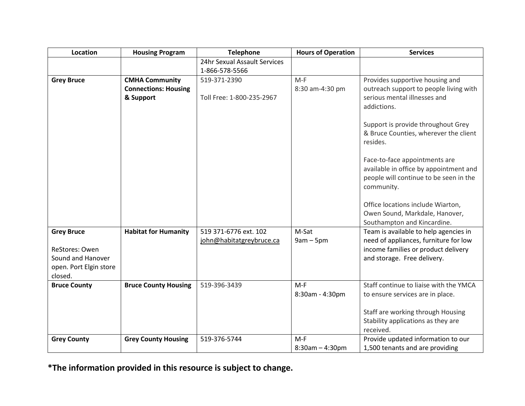| <b>Location</b>                                                          | <b>Housing Program</b>      | <b>Telephone</b>             | <b>Hours of Operation</b> | <b>Services</b>                                                                                                                 |
|--------------------------------------------------------------------------|-----------------------------|------------------------------|---------------------------|---------------------------------------------------------------------------------------------------------------------------------|
|                                                                          |                             | 24hr Sexual Assault Services |                           |                                                                                                                                 |
|                                                                          |                             | 1-866-578-5566               |                           |                                                                                                                                 |
| <b>Grey Bruce</b>                                                        | <b>CMHA Community</b>       | 519-371-2390                 | $M-F$                     | Provides supportive housing and                                                                                                 |
|                                                                          | <b>Connections: Housing</b> |                              | 8:30 am-4:30 pm           | outreach support to people living with                                                                                          |
|                                                                          | & Support                   | Toll Free: 1-800-235-2967    |                           | serious mental illnesses and<br>addictions.                                                                                     |
|                                                                          |                             |                              |                           | Support is provide throughout Grey<br>& Bruce Counties, wherever the client<br>resides.                                         |
|                                                                          |                             |                              |                           | Face-to-face appointments are<br>available in office by appointment and<br>people will continue to be seen in the<br>community. |
|                                                                          |                             |                              |                           | Office locations include Wiarton,<br>Owen Sound, Markdale, Hanover,<br>Southampton and Kincardine.                              |
| <b>Grey Bruce</b>                                                        | <b>Habitat for Humanity</b> | 519 371-6776 ext. 102        | M-Sat                     | Team is available to help agencies in                                                                                           |
|                                                                          |                             | john@habitatgreybruce.ca     | $9am - 5pm$               | need of appliances, furniture for low                                                                                           |
| ReStores: Owen<br>Sound and Hanover<br>open. Port Elgin store<br>closed. |                             |                              |                           | income families or product delivery<br>and storage. Free delivery.                                                              |
| <b>Bruce County</b>                                                      | <b>Bruce County Housing</b> | 519-396-3439                 | $M-F$                     | Staff continue to liaise with the YMCA                                                                                          |
|                                                                          |                             |                              | 8:30am - 4:30pm           | to ensure services are in place.                                                                                                |
|                                                                          |                             |                              |                           | Staff are working through Housing<br>Stability applications as they are<br>received.                                            |
| <b>Grey County</b>                                                       | <b>Grey County Housing</b>  | 519-376-5744                 | $M-F$                     | Provide updated information to our                                                                                              |
|                                                                          |                             |                              | $8:30am - 4:30pm$         | 1,500 tenants and are providing                                                                                                 |